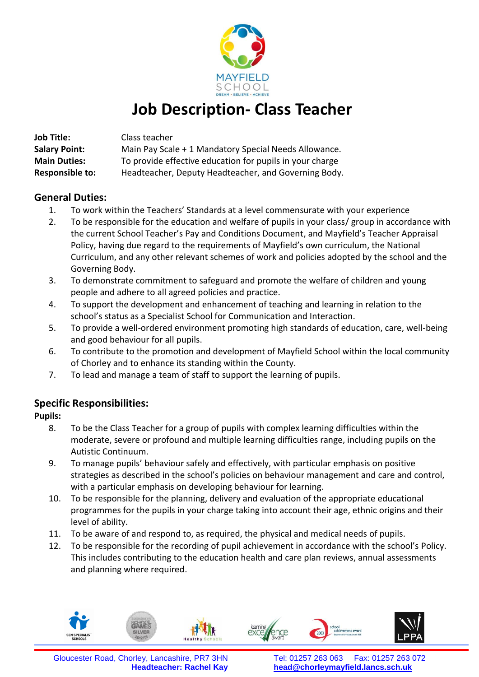

# **Job Description- Class Teacher**

| <b>Job Title:</b>      | Class teacher                                            |  |  |  |
|------------------------|----------------------------------------------------------|--|--|--|
| <b>Salary Point:</b>   | Main Pay Scale + 1 Mandatory Special Needs Allowance.    |  |  |  |
| <b>Main Duties:</b>    | To provide effective education for pupils in your charge |  |  |  |
| <b>Responsible to:</b> | Headteacher, Deputy Headteacher, and Governing Body.     |  |  |  |

### **General Duties:**

- 1. To work within the Teachers' Standards at a level commensurate with your experience
- 2. To be responsible for the education and welfare of pupils in your class/ group in accordance with the current School Teacher's Pay and Conditions Document, and Mayfield's Teacher Appraisal Policy, having due regard to the requirements of Mayfield's own curriculum, the National Curriculum, and any other relevant schemes of work and policies adopted by the school and the Governing Body.
- 3. To demonstrate commitment to safeguard and promote the welfare of children and young people and adhere to all agreed policies and practice.
- 4. To support the development and enhancement of teaching and learning in relation to the school's status as a Specialist School for Communication and Interaction.
- 5. To provide a well-ordered environment promoting high standards of education, care, well-being and good behaviour for all pupils.
- 6. To contribute to the promotion and development of Mayfield School within the local community of Chorley and to enhance its standing within the County.
- 7. To lead and manage a team of staff to support the learning of pupils.

## **Specific Responsibilities:**

**Pupils:**

- 8. To be the Class Teacher for a group of pupils with complex learning difficulties within the moderate, severe or profound and multiple learning difficulties range, including pupils on the Autistic Continuum.
- 9. To manage pupils' behaviour safely and effectively, with particular emphasis on positive strategies as described in the school's policies on behaviour management and care and control, with a particular emphasis on developing behaviour for learning.
- 10. To be responsible for the planning, delivery and evaluation of the appropriate educational programmes for the pupils in your charge taking into account their age, ethnic origins and their level of ability.
- 11. To be aware of and respond to, as required, the physical and medical needs of pupils.
- 12. To be responsible for the recording of pupil achievement in accordance with the school's Policy. This includes contributing to the education health and care plan reviews, annual assessments and planning where required.